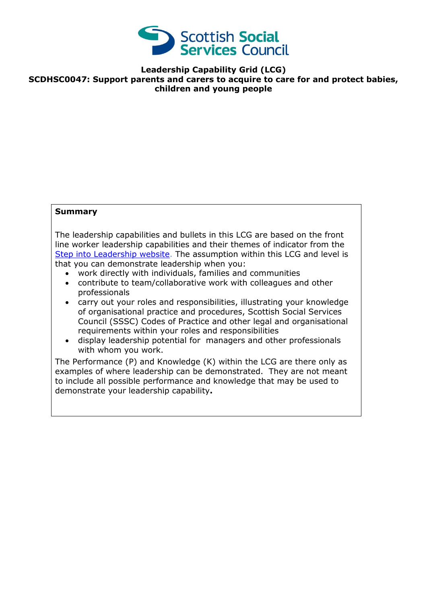

**Leadership Capability Grid (LCG) SCDHSC0047: Support parents and carers to acquire to care for and protect babies, children and young people**

## **Summary**

The leadership capabilities and bullets in this LCG are based on the front line worker leadership capabilities and their themes of indicator from the [Step into Leadership website.](http://www.stepintoleadership.info/) The assumption within this LCG and level is that you can demonstrate leadership when you:

- work directly with individuals, families and communities
- contribute to team/collaborative work with colleagues and other professionals
- carry out your roles and responsibilities, illustrating your knowledge of organisational practice and procedures, Scottish Social Services Council (SSSC) Codes of Practice and other legal and organisational requirements within your roles and responsibilities
- display leadership potential for managers and other professionals with whom you work.

The Performance (P) and Knowledge (K) within the LCG are there only as examples of where leadership can be demonstrated. They are not meant to include all possible performance and knowledge that may be used to demonstrate your leadership capability**.**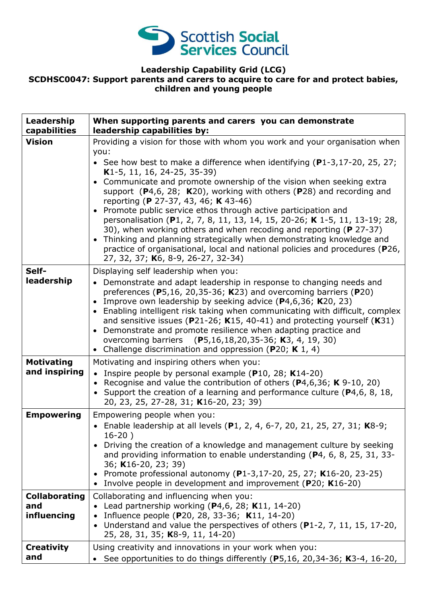

## **Leadership Capability Grid (LCG) SCDHSC0047: Support parents and carers to acquire to care for and protect babies, children and young people**

| Leadership<br>capabilities                 | When supporting parents and carers you can demonstrate<br>leadership capabilities by:                                                                                                                                                                                                                                                                                                                                                                                                                                                                                                                                                                      |
|--------------------------------------------|------------------------------------------------------------------------------------------------------------------------------------------------------------------------------------------------------------------------------------------------------------------------------------------------------------------------------------------------------------------------------------------------------------------------------------------------------------------------------------------------------------------------------------------------------------------------------------------------------------------------------------------------------------|
| <b>Vision</b>                              | Providing a vision for those with whom you work and your organisation when<br>you:<br>• See how best to make a difference when identifying $(P1-3, 17-20, 25, 27)$                                                                                                                                                                                                                                                                                                                                                                                                                                                                                         |
|                                            | K1-5, 11, 16, 24-25, 35-39)<br>• Communicate and promote ownership of the vision when seeking extra<br>support $(P4,6, 28; K20)$ , working with others $(P28)$ and recording and<br>reporting (P 27-37, 43, 46; K 43-46)<br>• Promote public service ethos through active participation and<br>personalisation (P1, 2, 7, 8, 11, 13, 14, 15, 20-26; K 1-5, 11, 13-19; 28,<br>30), when working others and when recoding and reporting (P 27-37)<br>Thinking and planning strategically when demonstrating knowledge and<br>$\bullet$<br>practice of organisational, local and national policies and procedures (P26,<br>27, 32, 37; K6, 8-9, 26-27, 32-34) |
| Self-<br>leadership                        | Displaying self leadership when you:<br>• Demonstrate and adapt leadership in response to changing needs and<br>preferences (P5,16, 20,35-36; K23) and overcoming barriers (P20)<br>Improve own leadership by seeking advice $(P4, 6, 36; K20, 23)$<br>• Enabling intelligent risk taking when communicating with difficult, complex<br>and sensitive issues ( $P$ 21-26; K15, 40-41) and protecting yourself (K31)<br>Demonstrate and promote resilience when adapting practice and<br>$\bullet$<br>overcoming barriers (P5,16,18,20,35-36; K3, 4, 19, 30)<br>• Challenge discrimination and oppression (P20; K 1, 4)                                     |
| <b>Motivating</b><br>and inspiring         | Motivating and inspiring others when you:<br>• Inspire people by personal example ( $P10$ , 28; K14-20)<br>• Recognise and value the contribution of others ( $P4,6,36$ ; K $9-10$ , 20)<br>• Support the creation of a learning and performance culture (P4,6, 8, 18,<br>20, 23, 25, 27-28, 31; K16-20, 23; 39)                                                                                                                                                                                                                                                                                                                                           |
| <b>Empowering</b>                          | Empowering people when you:<br>• Enable leadership at all levels (P1, 2, 4, 6-7, 20, 21, 25, 27, 31; K8-9;<br>$16-20$ )<br>Driving the creation of a knowledge and management culture by seeking<br>and providing information to enable understanding (P4, 6, 8, 25, 31, 33-<br>36; K16-20, 23; 39)<br>• Promote professional autonomy (P1-3,17-20, 25, 27; K16-20, 23-25)<br>Involve people in development and improvement (P20; K16-20)                                                                                                                                                                                                                  |
| <b>Collaborating</b><br>and<br>influencing | Collaborating and influencing when you:<br>Lead partnership working $(P4, 6, 28; K11, 14-20)$<br>Influence people (P20, 28, 33-36; K11, 14-20)<br>Understand and value the perspectives of others (P1-2, 7, 11, 15, 17-20,<br>$\bullet$<br>25, 28, 31, 35; K8-9, 11, 14-20)                                                                                                                                                                                                                                                                                                                                                                                |
| <b>Creativity</b><br>and                   | Using creativity and innovations in your work when you:<br>See opportunities to do things differently (P5,16, 20,34-36; K3-4, 16-20,                                                                                                                                                                                                                                                                                                                                                                                                                                                                                                                       |